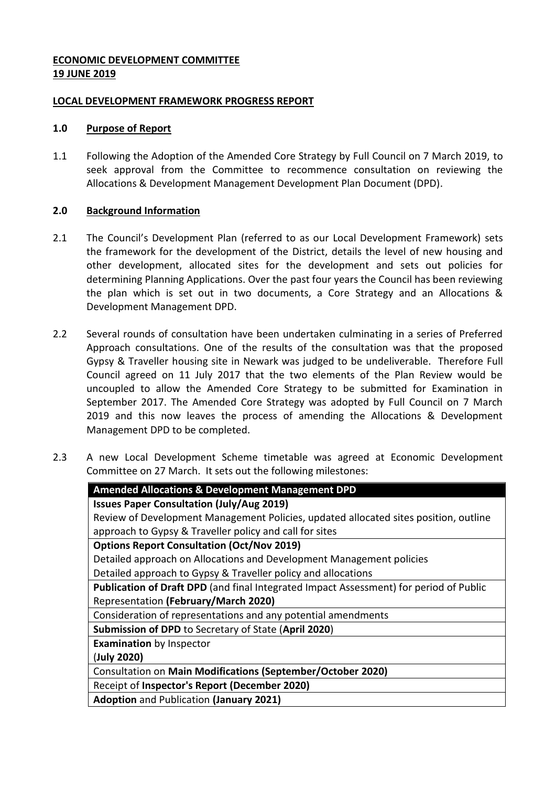## **ECONOMIC DEVELOPMENT COMMITTEE 19 JUNE 2019**

## **LOCAL DEVELOPMENT FRAMEWORK PROGRESS REPORT**

## **1.0 Purpose of Report**

1.1 Following the Adoption of the Amended Core Strategy by Full Council on 7 March 2019, to seek approval from the Committee to recommence consultation on reviewing the Allocations & Development Management Development Plan Document (DPD).

# **2.0 Background Information**

- 2.1 The Council's Development Plan (referred to as our Local Development Framework) sets the framework for the development of the District, details the level of new housing and other development, allocated sites for the development and sets out policies for determining Planning Applications. Over the past four years the Council has been reviewing the plan which is set out in two documents, a Core Strategy and an Allocations & Development Management DPD.
- 2.2 Several rounds of consultation have been undertaken culminating in a series of Preferred Approach consultations. One of the results of the consultation was that the proposed Gypsy & Traveller housing site in Newark was judged to be undeliverable. Therefore Full Council agreed on 11 July 2017 that the two elements of the Plan Review would be uncoupled to allow the Amended Core Strategy to be submitted for Examination in September 2017. The Amended Core Strategy was adopted by Full Council on 7 March 2019 and this now leaves the process of amending the Allocations & Development Management DPD to be completed.
- 2.3 A new Local Development Scheme timetable was agreed at Economic Development Committee on 27 March. It sets out the following milestones:

| <b>Amended Allocations &amp; Development Management DPD</b>                            |
|----------------------------------------------------------------------------------------|
| <b>Issues Paper Consultation (July/Aug 2019)</b>                                       |
| Review of Development Management Policies, updated allocated sites position, outline   |
| approach to Gypsy & Traveller policy and call for sites                                |
| <b>Options Report Consultation (Oct/Nov 2019)</b>                                      |
| Detailed approach on Allocations and Development Management policies                   |
| Detailed approach to Gypsy & Traveller policy and allocations                          |
| Publication of Draft DPD (and final Integrated Impact Assessment) for period of Public |
| Representation (February/March 2020)                                                   |
| Consideration of representations and any potential amendments                          |
| <b>Submission of DPD to Secretary of State (April 2020)</b>                            |
| <b>Examination</b> by Inspector                                                        |
| (July 2020)                                                                            |
| Consultation on Main Modifications (September/October 2020)                            |
| Receipt of Inspector's Report (December 2020)                                          |
| <b>Adoption and Publication (January 2021)</b>                                         |